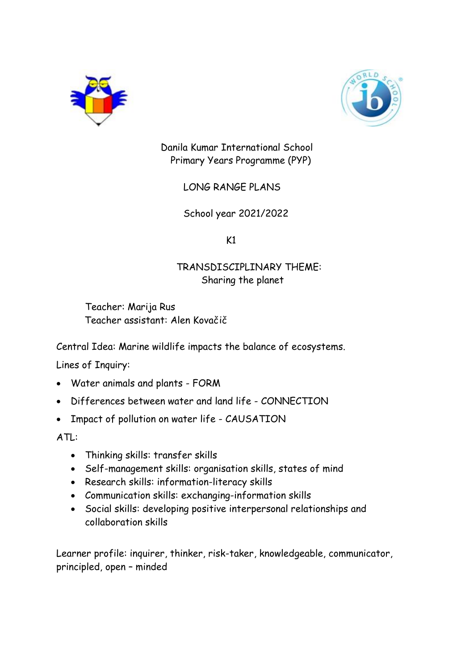



Danila Kumar International School Primary Years Programme (PYP)

LONG RANGE PLANS

School year 2021/2022

 $K1$ 

# TRANSDISCIPLINARY THEME: Sharing the planet

 Teacher: Marija Rus Teacher assistant: Alen Kovačič

Central Idea: Marine wildlife impacts the balance of ecosystems.

Lines of Inquiry:

- Water animals and plants FORM
- Differences between water and land life CONNECTION
- Impact of pollution on water life CAUSATION

ATL:

- Thinking skills: transfer skills
- Self-management skills: organisation skills, states of mind
- Research skills: information-literacy skills
- Communication skills: exchanging-information skills
- Social skills: developing positive interpersonal relationships and collaboration skills

Learner profile: inquirer, thinker, risk-taker, knowledgeable, communicator, principled, open – minded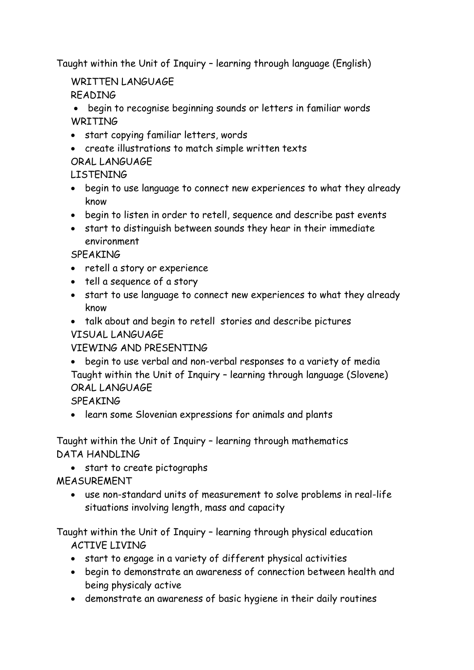Taught within the Unit of Inquiry – learning through language (English)

WRITTEN LANGUAGE

READING

 begin to recognise beginning sounds or letters in familiar words **WRITING** 

- start copying familiar letters, words
- create illustrations to match simple written texts ORAL LANGUAGE

LISTENING

- begin to use language to connect new experiences to what they already know
- begin to listen in order to retell, sequence and describe past events
- start to distinguish between sounds they hear in their immediate environment

**SPFAKING** 

- retell a story or experience
- tell a sequence of a story
- start to use language to connect new experiences to what they already know
- talk about and begin to retell stories and describe pictures VISUAL LANGUAGE

VIEWING AND PRESENTING

 begin to use verbal and non-verbal responses to a variety of media Taught within the Unit of Inquiry – learning through language (Slovene) ORAL LANGUAGE

SPEAKING

learn some Slovenian expressions for animals and plants

Taught within the Unit of Inquiry – learning through mathematics DATA HANDLING

start to create pictographs

MEASUREMENT

 use non-standard units of measurement to solve problems in real-life situations involving length, mass and capacity

Taught within the Unit of Inquiry – learning through physical education ACTIVE LIVING

- start to engage in a variety of different physical activities
- begin to demonstrate an awareness of connection between health and being physicaly active
- demonstrate an awareness of basic hygiene in their daily routines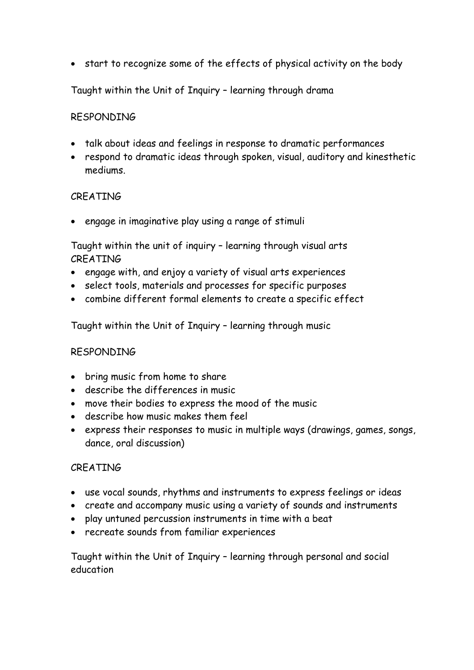start to recognize some of the effects of physical activity on the body

Taught within the Unit of Inquiry – learning through drama

### RESPONDING

- talk about ideas and feelings in response to dramatic performances
- respond to dramatic ideas through spoken, visual, auditory and kinesthetic mediums.

#### CREATING

• engage in imaginative play using a range of stimuli

Taught within the unit of inquiry – learning through visual arts CREATING

- engage with, and enjoy a variety of visual arts experiences
- select tools, materials and processes for specific purposes
- combine different formal elements to create a specific effect

Taught within the Unit of Inquiry – learning through music

#### RESPONDING

- bring music from home to share
- describe the differences in music
- move their bodies to express the mood of the music
- describe how music makes them feel
- express their responses to music in multiple ways (drawings, games, songs, dance, oral discussion)

#### CREATING

- use vocal sounds, rhythms and instruments to express feelings or ideas
- create and accompany music using a variety of sounds and instruments
- play untuned percussion instruments in time with a beat
- recreate sounds from familiar experiences

Taught within the Unit of Inquiry – learning through personal and social education